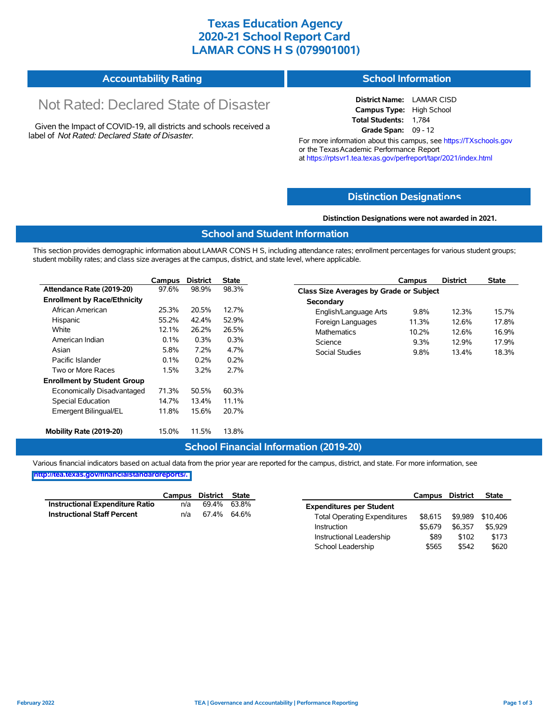## **Texas Education Agency 2020-21 School Report Card LAMAR CONS H S (079901001)**

## **Accountability Rating**

# Not Rated: Declared State of Disaster

Given the Impact of COVID-19, all districts and schools received a label of *Not Rated: Declared State of Disaster.*

## **School Information**

**District Name:** LAMAR CISD **Campus Type:** High School **Total Students:** 1,784 **Grade Span:** 09 - 12

For more information about this campus, see https://TXschools.gov or the TexasAcademic Performance Report at https://rptsvr1.tea.texas.gov/perfreport/tapr/2021/index.html

### **Distinction Designat[ions](https://TXschools.gov)**

#### **Distinction Designations were not awarded in 2021.**

### **School and Student Information**

This section provides demographic information about LAMAR CONS H S, including attendance rates; enrollment percentages for various student groups; student mobility rates; and class size averages at the campus, district, and state level, where applicable.

|                                     | Campus  | <b>District</b> | <b>State</b> |
|-------------------------------------|---------|-----------------|--------------|
| Attendance Rate (2019-20)           | 97.6%   | 98.9%           | 98.3%        |
| <b>Enrollment by Race/Ethnicity</b> |         |                 |              |
| African American                    | 25.3%   | 20.5%           | 12.7%        |
| Hispanic                            | 55.2%   | 42.4%           | 52.9%        |
| White                               | 12.1%   | 26.2%           | 26.5%        |
| American Indian                     | 0.1%    | 0.3%            | 0.3%         |
| Asian                               | 5.8%    | 7.2%            | 4.7%         |
| Pacific Islander                    | $0.1\%$ | $0.2\%$         | 0.2%         |
| Two or More Races                   | 1.5%    | 3.2%            | 2.7%         |
| <b>Enrollment by Student Group</b>  |         |                 |              |
| Economically Disadvantaged          | 71.3%   | 50.5%           | 60.3%        |
| <b>Special Education</b>            | 14.7%   | 13.4%           | 11.1%        |
| Emergent Bilingual/EL               | 11.8%   | 15.6%           | 20.7%        |
| Mobility Rate (2019-20)             | 15.0%   | 11.5%           | 13.8%        |

| Campus                                         | <b>District</b> | <b>State</b> |  |  |  |  |  |  |
|------------------------------------------------|-----------------|--------------|--|--|--|--|--|--|
| <b>Class Size Averages by Grade or Subject</b> |                 |              |  |  |  |  |  |  |
|                                                |                 |              |  |  |  |  |  |  |
| 9.8%                                           | 12.3%           | 157%         |  |  |  |  |  |  |
| 11.3%                                          | 126%            | 178%         |  |  |  |  |  |  |
| 10.2%                                          | 126%            | 16.9%        |  |  |  |  |  |  |
| 9.3%                                           | 12.9%           | 17 9%        |  |  |  |  |  |  |
| 9.8%                                           | 13.4%           | 18.3%        |  |  |  |  |  |  |
|                                                |                 |              |  |  |  |  |  |  |

### **School Financial Information (2019-20)**

Various financial indicators based on actual data from the prior year are reported for the campus, district, and state. For more information, see **[http://tea.texas.gov/financialstandardreports/.](http://tea.texas.gov/financialstandardreports/)**

|                                        | Campus District State |             |  |
|----------------------------------------|-----------------------|-------------|--|
| <b>Instructional Expenditure Ratio</b> | n/a                   | 69.4% 63.8% |  |
| <b>Instructional Staff Percent</b>     | n/a                   | 67.4% 64.6% |  |

|                                     | Campus District |         | <b>State</b> |
|-------------------------------------|-----------------|---------|--------------|
| <b>Expenditures per Student</b>     |                 |         |              |
| <b>Total Operating Expenditures</b> | \$8.615         | \$9,989 | \$10,406     |
| Instruction                         | \$5.679         | \$6.357 | \$5.929      |
| Instructional Leadership            | \$89            | \$102   | \$173        |
| School Leadership                   | \$565           | \$542   | \$620        |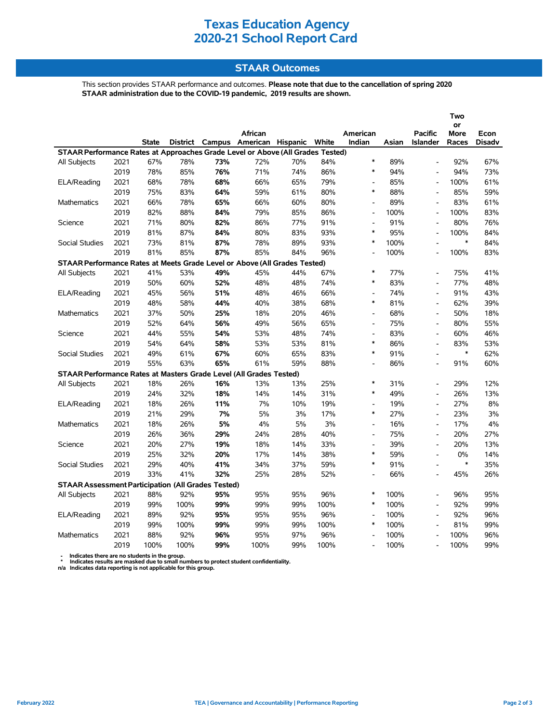## **Texas Education Agency 2020-21 School Report Card**

### **STAAR Outcomes**

This section provides STAAR performance and outcomes. **Please note that due to the cancellation of spring 2020 STAAR administration due to the COVID-19 pandemic, 2019 results are shown.**

|                                                                                |      |              |      |     |                                         |     |      |                          |       |                              | Two               |               |
|--------------------------------------------------------------------------------|------|--------------|------|-----|-----------------------------------------|-----|------|--------------------------|-------|------------------------------|-------------------|---------------|
|                                                                                |      |              |      |     | African                                 |     |      | American                 |       | <b>Pacific</b>               | or<br><b>More</b> | Econ          |
|                                                                                |      | <b>State</b> |      |     | District Campus American Hispanic White |     |      | Indian                   | Asian | <b>Islander</b>              | Races             | <b>Disadv</b> |
| STAAR Performance Rates at Approaches Grade Level or Above (All Grades Tested) |      |              |      |     |                                         |     |      |                          |       |                              |                   |               |
| All Subjects                                                                   | 2021 | 67%          | 78%  | 73% | 72%                                     | 70% | 84%  | $\ast$                   | 89%   | $\overline{a}$               | 92%               | 67%           |
|                                                                                | 2019 | 78%          | 85%  | 76% | 71%                                     | 74% | 86%  | $\ast$                   | 94%   | $\overline{\phantom{a}}$     | 94%               | 73%           |
| ELA/Reading                                                                    | 2021 | 68%          | 78%  | 68% | 66%                                     | 65% | 79%  | $\overline{\phantom{a}}$ | 85%   | L,                           | 100%              | 61%           |
|                                                                                | 2019 | 75%          | 83%  | 64% | 59%                                     | 61% | 80%  | $\ast$                   | 88%   | L,                           | 85%               | 59%           |
| <b>Mathematics</b>                                                             | 2021 | 66%          | 78%  | 65% | 66%                                     | 60% | 80%  | $\overline{a}$           | 89%   | $\overline{\phantom{a}}$     | 83%               | 61%           |
|                                                                                | 2019 | 82%          | 88%  | 84% | 79%                                     | 85% | 86%  | $\frac{1}{2}$            | 100%  | $\overline{a}$               | 100%              | 83%           |
| Science                                                                        | 2021 | 71%          | 80%  | 82% | 86%                                     | 77% | 91%  | $\overline{\phantom{a}}$ | 91%   | $\overline{a}$               | 80%               | 76%           |
|                                                                                | 2019 | 81%          | 87%  | 84% | 80%                                     | 83% | 93%  | $\ast$                   | 95%   | $\overline{a}$               | 100%              | 84%           |
| <b>Social Studies</b>                                                          | 2021 | 73%          | 81%  | 87% | 78%                                     | 89% | 93%  | $\ast$                   | 100%  | $\blacksquare$               | $\ast$            | 84%           |
|                                                                                | 2019 | 81%          | 85%  | 87% | 85%                                     | 84% | 96%  | $\overline{a}$           | 100%  | $\overline{a}$               | 100%              | 83%           |
| STAAR Performance Rates at Meets Grade Level or Above (All Grades Tested)      |      |              |      |     |                                         |     |      |                          |       |                              |                   |               |
| All Subjects                                                                   | 2021 | 41%          | 53%  | 49% | 45%                                     | 44% | 67%  | $\ast$                   | 77%   | $\blacksquare$               | 75%               | 41%           |
|                                                                                | 2019 | 50%          | 60%  | 52% | 48%                                     | 48% | 74%  | $\ast$                   | 83%   | $\blacksquare$               | 77%               | 48%           |
| ELA/Reading                                                                    | 2021 | 45%          | 56%  | 51% | 48%                                     | 46% | 66%  | L,                       | 74%   | $\overline{a}$               | 91%               | 43%           |
|                                                                                | 2019 | 48%          | 58%  | 44% | 40%                                     | 38% | 68%  | $\ast$                   | 81%   | $\blacksquare$               | 62%               | 39%           |
| <b>Mathematics</b>                                                             | 2021 | 37%          | 50%  | 25% | 18%                                     | 20% | 46%  | $\overline{\phantom{a}}$ | 68%   | $\overline{\phantom{a}}$     | 50%               | 18%           |
|                                                                                | 2019 | 52%          | 64%  | 56% | 49%                                     | 56% | 65%  | $\overline{\phantom{a}}$ | 75%   | $\overline{\phantom{a}}$     | 80%               | 55%           |
| Science                                                                        | 2021 | 44%          | 55%  | 54% | 53%                                     | 48% | 74%  | $\overline{\phantom{a}}$ | 83%   | $\overline{a}$               | 60%               | 46%           |
|                                                                                | 2019 | 54%          | 64%  | 58% | 53%                                     | 53% | 81%  | $\ast$                   | 86%   | $\overline{a}$               | 83%               | 53%           |
| <b>Social Studies</b>                                                          | 2021 | 49%          | 61%  | 67% | 60%                                     | 65% | 83%  | $\ast$                   | 91%   | $\overline{a}$               | $\ast$            | 62%           |
|                                                                                | 2019 | 55%          | 63%  | 65% | 61%                                     | 59% | 88%  |                          | 86%   |                              | 91%               | 60%           |
| STAAR Performance Rates at Masters Grade Level (All Grades Tested)             |      |              |      |     |                                         |     |      |                          |       |                              |                   |               |
| All Subjects                                                                   | 2021 | 18%          | 26%  | 16% | 13%                                     | 13% | 25%  | $\ast$                   | 31%   | $\overline{a}$               | 29%               | 12%           |
|                                                                                | 2019 | 24%          | 32%  | 18% | 14%                                     | 14% | 31%  | $\ast$                   | 49%   | $\overline{\phantom{a}}$     | 26%               | 13%           |
| ELA/Reading                                                                    | 2021 | 18%          | 26%  | 11% | 7%                                      | 10% | 19%  | $\overline{\phantom{a}}$ | 19%   | $\overline{a}$               | 27%               | 8%            |
|                                                                                | 2019 | 21%          | 29%  | 7%  | 5%                                      | 3%  | 17%  | $\ast$                   | 27%   | $\overline{\phantom{a}}$     | 23%               | 3%            |
| Mathematics                                                                    | 2021 | 18%          | 26%  | 5%  | 4%                                      | 5%  | 3%   | $\overline{\phantom{a}}$ | 16%   | $\overline{\phantom{a}}$     | 17%               | 4%            |
|                                                                                | 2019 | 26%          | 36%  | 29% | 24%                                     | 28% | 40%  | $\overline{a}$           | 75%   | $\overline{\phantom{a}}$     | 20%               | 27%           |
| Science                                                                        | 2021 | 20%          | 27%  | 19% | 18%                                     | 14% | 33%  |                          | 39%   | $\overline{\phantom{a}}$     | 20%               | 13%           |
|                                                                                | 2019 | 25%          | 32%  | 20% | 17%                                     | 14% | 38%  | $\ast$                   | 59%   | $\overline{\phantom{a}}$     | 0%                | 14%           |
| <b>Social Studies</b>                                                          | 2021 | 29%          | 40%  | 41% | 34%                                     | 37% | 59%  | $\ast$                   | 91%   | $\overline{a}$               | $\ast$            | 35%           |
|                                                                                | 2019 | 33%          | 41%  | 32% | 25%                                     | 28% | 52%  | $\overline{a}$           | 66%   | $\overline{a}$               | 45%               | 26%           |
| <b>STAAR Assessment Participation (All Grades Tested)</b>                      |      |              |      |     |                                         |     |      |                          |       |                              |                   |               |
| All Subjects                                                                   | 2021 | 88%          | 92%  | 95% | 95%                                     | 95% | 96%  | $\ast$                   | 100%  | $\overline{a}$               | 96%               | 95%           |
|                                                                                | 2019 | 99%          | 100% | 99% | 99%                                     | 99% | 100% | $\ast$                   | 100%  | $\overline{a}$               | 92%               | 99%           |
| ELA/Reading                                                                    | 2021 | 89%          | 92%  | 95% | 95%                                     | 95% | 96%  |                          | 100%  | $\qquad \qquad \blacksquare$ | 92%               | 96%           |
|                                                                                | 2019 | 99%          | 100% | 99% | 99%                                     | 99% | 100% | $\ast$                   | 100%  | $\overline{\phantom{a}}$     | 81%               | 99%           |
| <b>Mathematics</b>                                                             | 2021 | 88%          | 92%  | 96% | 95%                                     | 97% | 96%  | $\overline{a}$           | 100%  | ۰                            | 100%              | 96%           |
|                                                                                | 2019 | 100%         | 100% | 99% | 100%                                    | 99% | 100% |                          | 100%  |                              | 100%              | 99%           |

 **- Indicates there are no students in the group. \* Indicates results are masked due to small numbers to protect student confidentiality.**

**n/a Indicates data reporting is not applicable for this group.**